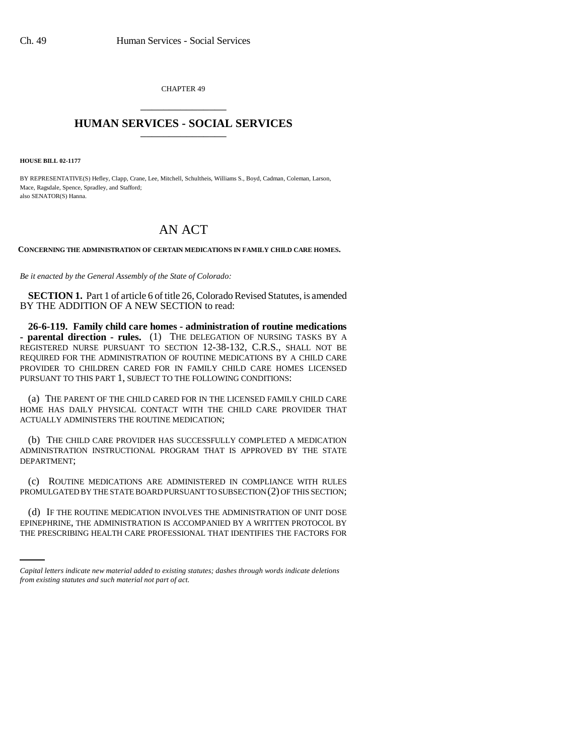CHAPTER 49 \_\_\_\_\_\_\_\_\_\_\_\_\_\_\_

## **HUMAN SERVICES - SOCIAL SERVICES** \_\_\_\_\_\_\_\_\_\_\_\_\_\_\_

**HOUSE BILL 02-1177**

BY REPRESENTATIVE(S) Hefley, Clapp, Crane, Lee, Mitchell, Schultheis, Williams S., Boyd, Cadman, Coleman, Larson, Mace, Ragsdale, Spence, Spradley, and Stafford; also SENATOR(S) Hanna.

## AN ACT

**CONCERNING THE ADMINISTRATION OF CERTAIN MEDICATIONS IN FAMILY CHILD CARE HOMES.**

*Be it enacted by the General Assembly of the State of Colorado:*

**SECTION 1.** Part 1 of article 6 of title 26, Colorado Revised Statutes, is amended BY THE ADDITION OF A NEW SECTION to read:

**26-6-119. Family child care homes - administration of routine medications - parental direction - rules.** (1) THE DELEGATION OF NURSING TASKS BY A REGISTERED NURSE PURSUANT TO SECTION 12-38-132, C.R.S., SHALL NOT BE REQUIRED FOR THE ADMINISTRATION OF ROUTINE MEDICATIONS BY A CHILD CARE PROVIDER TO CHILDREN CARED FOR IN FAMILY CHILD CARE HOMES LICENSED PURSUANT TO THIS PART 1, SUBJECT TO THE FOLLOWING CONDITIONS:

(a) THE PARENT OF THE CHILD CARED FOR IN THE LICENSED FAMILY CHILD CARE HOME HAS DAILY PHYSICAL CONTACT WITH THE CHILD CARE PROVIDER THAT ACTUALLY ADMINISTERS THE ROUTINE MEDICATION;

(b) THE CHILD CARE PROVIDER HAS SUCCESSFULLY COMPLETED A MEDICATION ADMINISTRATION INSTRUCTIONAL PROGRAM THAT IS APPROVED BY THE STATE DEPARTMENT;

(c) ROUTINE MEDICATIONS ARE ADMINISTERED IN COMPLIANCE WITH RULES PROMULGATED BY THE STATE BOARD PURSUANT TO SUBSECTION (2) OF THIS SECTION;

(d) IF THE ROUTINE MEDICATION INVOLVES THE ADMINISTRATION OF UNIT DOSE EPINEPHRINE, THE ADMINISTRATION IS ACCOMPANIED BY A WRITTEN PROTOCOL BY THE PRESCRIBING HEALTH CARE PROFESSIONAL THAT IDENTIFIES THE FACTORS FOR

*Capital letters indicate new material added to existing statutes; dashes through words indicate deletions from existing statutes and such material not part of act.*